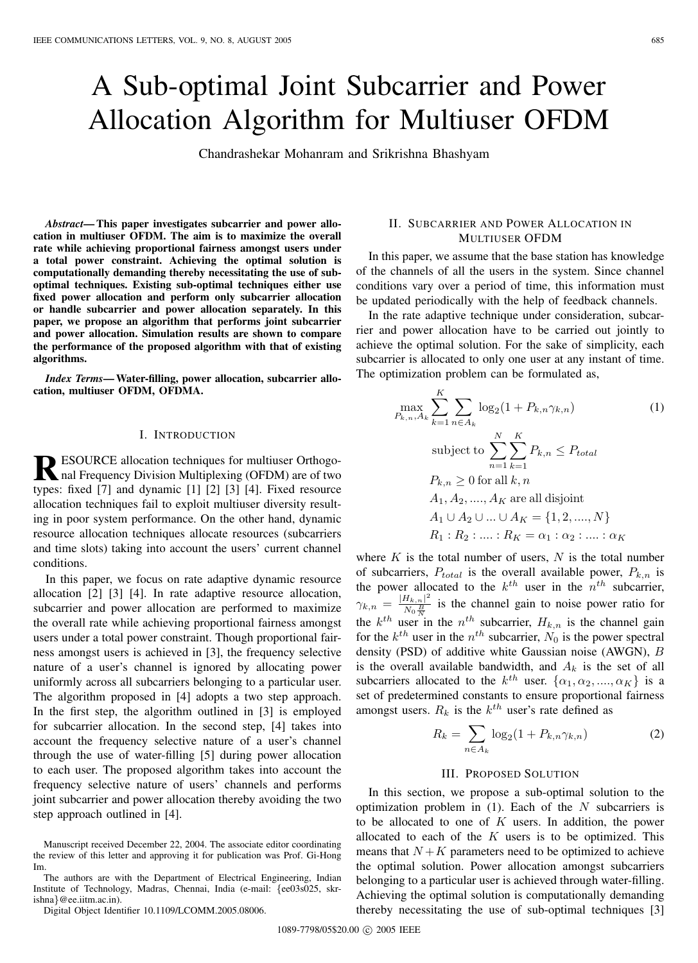# A Sub-optimal Joint Subcarrier and Power Allocation Algorithm for Multiuser OFDM

Chandrashekar Mohanram and Srikrishna Bhashyam

*Abstract***— This paper investigates subcarrier and power allocation in multiuser OFDM. The aim is to maximize the overall rate while achieving proportional fairness amongst users under a total power constraint. Achieving the optimal solution is computationally demanding thereby necessitating the use of suboptimal techniques. Existing sub-optimal techniques either use fixed power allocation and perform only subcarrier allocation or handle subcarrier and power allocation separately. In this paper, we propose an algorithm that performs joint subcarrier and power allocation. Simulation results are shown to compare the performance of the proposed algorithm with that of existing algorithms.**

*Index Terms***— Water-filling, power allocation, subcarrier allocation, multiuser OFDM, OFDMA.**

#### I. INTRODUCTION

**RESOURCE** allocation techniques for multiuser Orthogo-<br>nal Frequency Division Multiplexing (OFDM) are of two<br>two character of the state of the state of two types: fixed [7] and dynamic [1] [2] [3] [4]. Fixed resource allocation techniques fail to exploit multiuser diversity resulting in poor system performance. On the other hand, dynamic resource allocation techniques allocate resources (subcarriers and time slots) taking into account the users' current channel conditions.

In this paper, we focus on rate adaptive dynamic resource allocation [2] [3] [4]. In rate adaptive resource allocation, subcarrier and power allocation are performed to maximize the overall rate while achieving proportional fairness amongst users under a total power constraint. Though proportional fairness amongst users is achieved in [3], the frequency selective nature of a user's channel is ignored by allocating power uniformly across all subcarriers belonging to a particular user. The algorithm proposed in [4] adopts a two step approach. In the first step, the algorithm outlined in [3] is employed for subcarrier allocation. In the second step, [4] takes into account the frequency selective nature of a user's channel through the use of water-filling [5] during power allocation to each user. The proposed algorithm takes into account the frequency selective nature of users' channels and performs joint subcarrier and power allocation thereby avoiding the two step approach outlined in [4].

Manuscript received December 22, 2004. The associate editor coordinating the review of this letter and approving it for publication was Prof. Gi-Hong Im.

The authors are with the Department of Electrical Engineering, Indian Institute of Technology, Madras, Chennai, India (e-mail: {ee03s025, skrishna}@ee.iitm.ac.in).

Digital Object Identifier 10.1109/LCOMM.2005.08006.

#### II. SUBCARRIER AND POWER ALLOCATION IN MULTIUSER OFDM

In this paper, we assume that the base station has knowledge of the channels of all the users in the system. Since channel conditions vary over a period of time, this information must be updated periodically with the help of feedback channels.

In the rate adaptive technique under consideration, subcarrier and power allocation have to be carried out jointly to achieve the optimal solution. For the sake of simplicity, each subcarrier is allocated to only one user at any instant of time. The optimization problem can be formulated as,

$$
\max_{P_{k,n},A_k} \sum_{k=1}^{K} \sum_{n \in A_k} \log_2(1 + P_{k,n} \gamma_{k,n})
$$
(1)  
subject to 
$$
\sum_{n=1}^{N} \sum_{k=1}^{K} P_{k,n} \leq P_{total}
$$

$$
P_{k,n} \geq 0 \text{ for all } k, n
$$

$$
A_1, A_2, ..., A_K \text{ are all disjoint}
$$

$$
A_1 \cup A_2 \cup ... \cup A_K = \{1, 2, ..., N\}
$$

$$
R_1: R_2: ....: R_K = \alpha_1: \alpha_2: ....: \alpha_K
$$

where  $K$  is the total number of users,  $N$  is the total number of subcarriers,  $P_{total}$  is the overall available power,  $P_{k,n}$  is the power allocated to the  $k^{th}$  user in the  $n^{th}$  subcarrier,  $\gamma_{k,n} = \frac{|H_{k,n}|^2}{N_0 \frac{B}{N}}$  $\frac{H_{k,n}}{N_0}$  is the channel gain to noise power ratio for the  $k^{th}$  user in the  $n^{th}$  subcarrier,  $H_{k,n}$  is the channel gain for the  $k^{th}$  user in the  $n^{th}$  subcarrier,  $N_0$  is the power spectral density (PSD) of additive white Gaussian noise (AWGN), B is the overall available bandwidth, and  $A_k$  is the set of all subcarriers allocated to the  $k^{th}$  user.  $\{\alpha_1, \alpha_2, ..., \alpha_K\}$  is a set of predetermined constants to ensure proportional fairness amongst users.  $R_k$  is the  $k^{th}$  user's rate defined as

$$
R_k = \sum_{n \in A_k} \log_2(1 + P_{k,n} \gamma_{k,n})
$$
 (2)

## III. PROPOSED SOLUTION

In this section, we propose a sub-optimal solution to the optimization problem in  $(1)$ . Each of the N subcarriers is to be allocated to one of  $K$  users. In addition, the power allocated to each of the  $K$  users is to be optimized. This means that  $N + K$  parameters need to be optimized to achieve the optimal solution. Power allocation amongst subcarriers belonging to a particular user is achieved through water-filling. Achieving the optimal solution is computationally demanding thereby necessitating the use of sub-optimal techniques [3]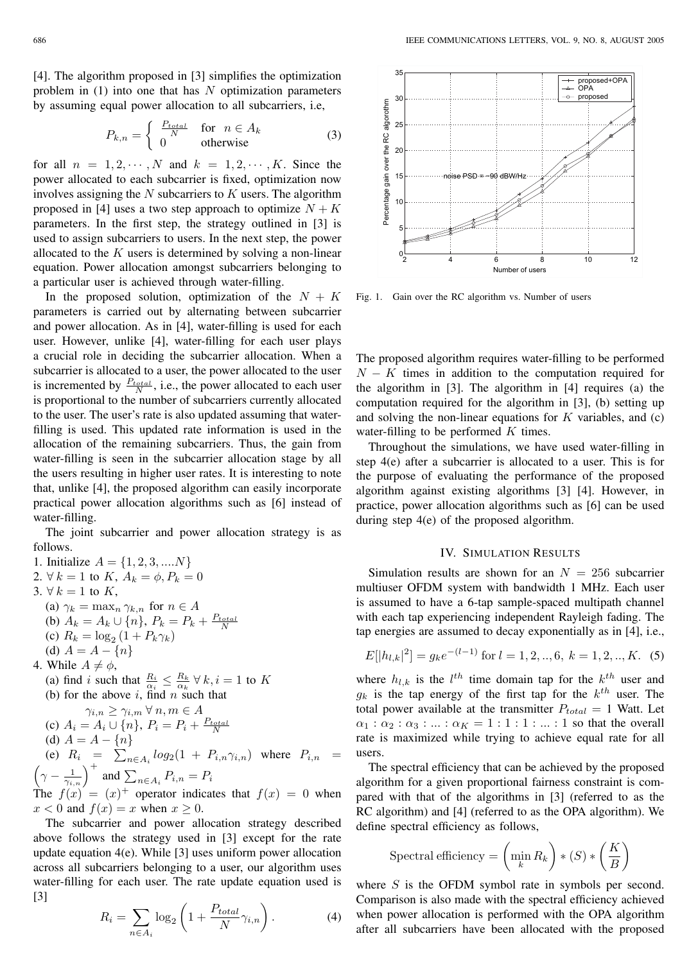[4]. The algorithm proposed in [3] simplifies the optimization problem in  $(1)$  into one that has N optimization parameters by assuming equal power allocation to all subcarriers, i.e,

$$
P_{k,n} = \begin{cases} \frac{P_{total}}{N} & \text{for } n \in A_k \\ 0 & \text{otherwise} \end{cases}
$$
 (3)

for all  $n = 1, 2, \cdots, N$  and  $k = 1, 2, \cdots, K$ . Since the power allocated to each subcarrier is fixed, optimization now involves assigning the  $N$  subcarriers to  $K$  users. The algorithm proposed in [4] uses a two step approach to optimize  $N + K$ parameters. In the first step, the strategy outlined in [3] is used to assign subcarriers to users. In the next step, the power allocated to the  $K$  users is determined by solving a non-linear equation. Power allocation amongst subcarriers belonging to a particular user is achieved through water-filling.

In the proposed solution, optimization of the  $N + K$ parameters is carried out by alternating between subcarrier and power allocation. As in [4], water-filling is used for each user. However, unlike [4], water-filling for each user plays a crucial role in deciding the subcarrier allocation. When a subcarrier is allocated to a user, the power allocated to the user is incremented by  $\frac{P_{total}}{N}$ , i.e., the power allocated to each user is proportional to the number of subcarriers currently allocated to the user. The user's rate is also updated assuming that waterfilling is used. This updated rate information is used in the allocation of the remaining subcarriers. Thus, the gain from water-filling is seen in the subcarrier allocation stage by all the users resulting in higher user rates. It is interesting to note that, unlike [4], the proposed algorithm can easily incorporate practical power allocation algorithms such as [6] instead of water-filling.

The joint subcarrier and power allocation strategy is as follows.

1. Initialize  $A = \{1, 2, 3, \dots N\}$ 2.  $\forall k = 1$  to K,  $A_k = \phi$ ,  $P_k = 0$ 3.  $\forall k = 1$  to K, (a)  $\gamma_k = \max_n \gamma_{k,n}$  for  $n \in A$ (b)  $A_k = A_k \cup \{n\}, P_k = P_k + \frac{P_{total}}{N}$ <br>(c)  $B_k = \log (1 + P_k \gamma_k)$ (c)  $R_k = \log_2 (1 + P_k \gamma_k)$ (d)  $A = A - \{n\}$ 4. While  $A \neq \phi$ , (a) find *i* such that  $\frac{R_i}{\alpha_i} \leq \frac{R_k}{\alpha_k} \forall k, i = 1$  to K (b) for the above *i*, find *n* such that  $\gamma_{i,n} \geq \gamma_{i,m} \forall n,m \in A$ (c)  $A_i = A_i \cup \{n\}, P_i = P_i + \frac{P_{total}}{N}$ <br>
(d)  $A = A - In$ (d)  $A = A - \{n\}$ <br>(e)  $B = \sum$ (e)  $R_i = \sum_{n \in A_i} log_2(1 + P_{i,n} \gamma_{i,n})$  where  $P_{i,n} = \left(\gamma - \frac{1}{\gamma_{i,n}}\right)^+$  and  $\sum_{n \in A_i} P_{i,n} = P_i$ The  $f(x)=(x)^+$  operator indicates that  $f(x)=0$  when  $x < 0$  and  $f(x) = x$  when  $x \ge 0$ .

The subcarrier and power allocation strategy described above follows the strategy used in [3] except for the rate update equation 4(e). While [3] uses uniform power allocation across all subcarriers belonging to a user, our algorithm uses water-filling for each user. The rate update equation used is [3]

$$
R_i = \sum_{n \in A_i} \log_2 \left( 1 + \frac{P_{total}}{N} \gamma_{i,n} \right). \tag{4}
$$



Fig. 1. Gain over the RC algorithm vs. Number of users

The proposed algorithm requires water-filling to be performed  $N - K$  times in addition to the computation required for the algorithm in [3]. The algorithm in [4] requires (a) the computation required for the algorithm in [3], (b) setting up and solving the non-linear equations for  $K$  variables, and  $(c)$ water-filling to be performed  $K$  times.

Throughout the simulations, we have used water-filling in step 4(e) after a subcarrier is allocated to a user. This is for the purpose of evaluating the performance of the proposed algorithm against existing algorithms [3] [4]. However, in practice, power allocation algorithms such as [6] can be used during step 4(e) of the proposed algorithm.

## IV. SIMULATION RESULTS

Simulation results are shown for an  $N = 256$  subcarrier multiuser OFDM system with bandwidth 1 MHz. Each user is assumed to have a 6-tap sample-spaced multipath channel with each tap experiencing independent Rayleigh fading. The tap energies are assumed to decay exponentially as in [4], i.e.,

$$
E[|h_{l,k}|^2] = g_k e^{-(l-1)} \text{ for } l = 1, 2, ..., 6, k = 1, 2, ..., K.
$$
 (5)

where  $h_{l,k}$  is the  $l^{th}$  time domain tap for the  $k^{th}$  user and  $g_k$  is the tap energy of the first tap for the  $k^{th}$  user. The total power available at the transmitter  $P_{total} = 1$  Watt. Let  $\alpha_1 : \alpha_2 : \alpha_3 : \ldots : \alpha_K = 1 : 1 : 1 : \ldots : 1$  so that the overall rate is maximized while trying to achieve equal rate for all users.

The spectral efficiency that can be achieved by the proposed algorithm for a given proportional fairness constraint is compared with that of the algorithms in [3] (referred to as the RC algorithm) and [4] (referred to as the OPA algorithm). We define spectral efficiency as follows,

$$
\text{Spectral efficiency} = \left(\min_k R_k\right) * \left(S\right) * \left(\frac{K}{B}\right)
$$

where S is the OFDM symbol rate in symbols per second. Comparison is also made with the spectral efficiency achieved when power allocation is performed with the OPA algorithm after all subcarriers have been allocated with the proposed